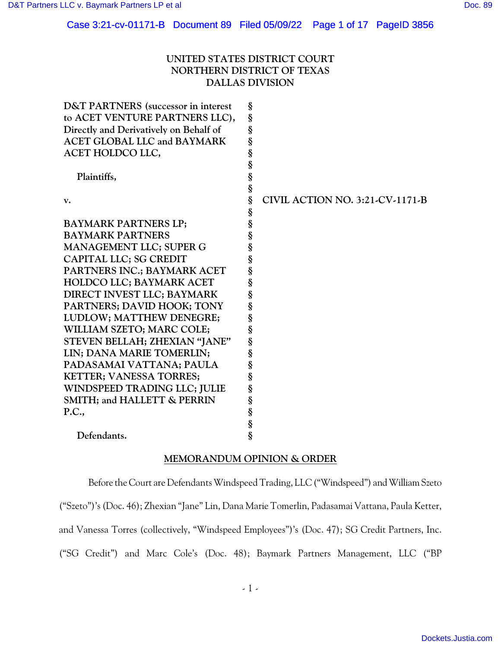# Case 3:21-cv-01171-B Document 89 Filed 05/09/22 Page 1 of 17 PageID 3856

# **UNITED STATES DISTRICT COURT NORTHERN DISTRICT OF TEXAS DALLAS DIVISION**

| <b>D&amp;T PARTNERS</b> (successor in interest | §                |                                 |
|------------------------------------------------|------------------|---------------------------------|
| to ACET VENTURE PARTNERS LLC),                 | §                |                                 |
| Directly and Derivatively on Behalf of         | §                |                                 |
| <b>ACET GLOBAL LLC and BAYMARK</b>             | §                |                                 |
| ACET HOLDCO LLC,                               |                  |                                 |
|                                                |                  |                                 |
| Plaintiffs,                                    |                  |                                 |
|                                                |                  |                                 |
| $\mathbf{v}$ .                                 | es es es es es   | CIVIL ACTION NO. 3:21-CV-1171-B |
|                                                |                  |                                 |
| <b>BAYMARK PARTNERS LP;</b>                    | §<br>§           |                                 |
| <b>BAYMARK PARTNERS</b>                        |                  |                                 |
| MANAGEMENT LLC; SUPER G                        | S<br>S<br>S<br>S |                                 |
| CAPITAL LLC; SG CREDIT                         |                  |                                 |
| PARTNERS INC.; BAYMARK ACET                    |                  |                                 |
| <b>HOLDCO LLC; BAYMARK ACET</b>                | §<br>§           |                                 |
| DIRECT INVEST LLC; BAYMARK                     |                  |                                 |
| PARTNERS; DAVID HOOK; TONY                     |                  |                                 |
| LUDLOW; MATTHEW DENEGRE;                       | S<br>S<br>S<br>S |                                 |
| WILLIAM SZETO; MARC COLE;                      | §                |                                 |
| STEVEN BELLAH; ZHEXIAN "JANE"                  | §                |                                 |
| LIN; DANA MARIE TOMERLIN;                      | §<br>§           |                                 |
| PADASAMAI VATTANA; PAULA                       |                  |                                 |
| <b>KETTER; VANESSA TORRES;</b>                 | §                |                                 |
| WINDSPEED TRADING LLC; JULIE                   |                  |                                 |
| SMITH; and HALLETT & PERRIN                    |                  |                                 |
| P.C.,                                          |                  |                                 |
|                                                |                  |                                 |
| Defendants.                                    |                  |                                 |
|                                                |                  |                                 |

## **MEMORANDUM OPINION & ORDER**

Before the Court are Defendants Windspeed Trading, LLC ("Windspeed") and William Szeto ("Szeto")'s (Doc. 46); Zhexian "Jane" Lin, Dana Marie Tomerlin, Padasamai Vattana, Paula Ketter, and Vanessa Torres (collectively, "Windspeed Employees")'s (Doc. 47); SG Credit Partners, Inc. ("SG Credit") and Marc Cole's (Doc. 48); Baymark Partners Management, LLC ("BP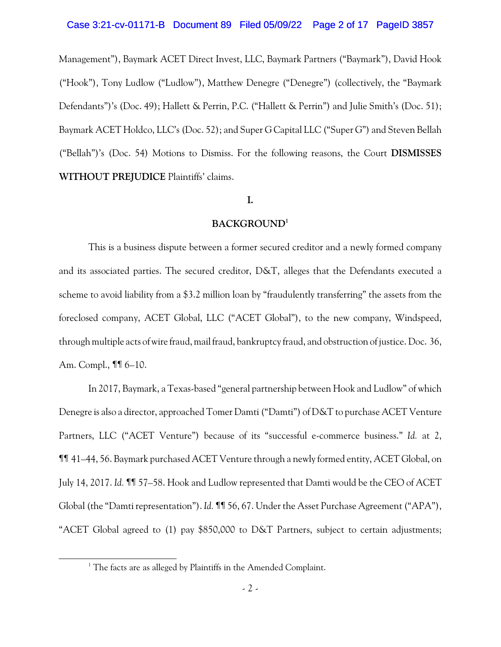#### Case 3:21-cv-01171-B Document 89 Filed 05/09/22 Page 2 of 17 PageID 3857

Management"), Baymark ACET Direct Invest, LLC, Baymark Partners ("Baymark"), David Hook ("Hook"), Tony Ludlow ("Ludlow"), Matthew Denegre ("Denegre") (collectively, the "Baymark Defendants")'s (Doc. 49); Hallett & Perrin, P.C. ("Hallett & Perrin") and Julie Smith's (Doc. 51); Baymark ACET Holdco, LLC's (Doc. 52); and Super G Capital LLC ("Super G") and Steven Bellah ("Bellah")'s (Doc. 54) Motions to Dismiss. For the following reasons, the Court **DISMISSES WITHOUT PREJUDICE** Plaintiffs' claims.

### **I.**

#### **BACKGROUND<sup>1</sup>**

This is a business dispute between a former secured creditor and a newly formed company and its associated parties. The secured creditor, D&T, alleges that the Defendants executed a scheme to avoid liability from a \$3.2 million loan by "fraudulently transferring" the assets from the foreclosed company, ACET Global, LLC ("ACET Global"), to the new company, Windspeed, through multiple acts ofwire fraud, mail fraud, bankruptcy fraud, and obstruction of justice. Doc. 36, Am. Compl., ¶¶ 6–10.

In 2017, Baymark, a Texas-based "general partnership between Hook and Ludlow" of which Denegre is also a director, approached Tomer Damti ("Damti") of D&T to purchase ACET Venture Partners, LLC ("ACET Venture") because of its "successful e-commerce business." *Id.* at 2, ¶¶ 41–44, 56. Baymark purchased ACET Venture through a newly formed entity, ACET Global, on July 14, 2017. *Id.* ¶¶ 57–58. Hook and Ludlow represented that Damti would be the CEO of ACET Global (the "Damti representation"). *Id.* ¶¶ 56, 67. Under the Asset Purchase Agreement ("APA"), "ACET Global agreed to (1) pay \$850,000 to D&T Partners, subject to certain adjustments;

 $1$ <sup>1</sup> The facts are as alleged by Plaintiffs in the Amended Complaint.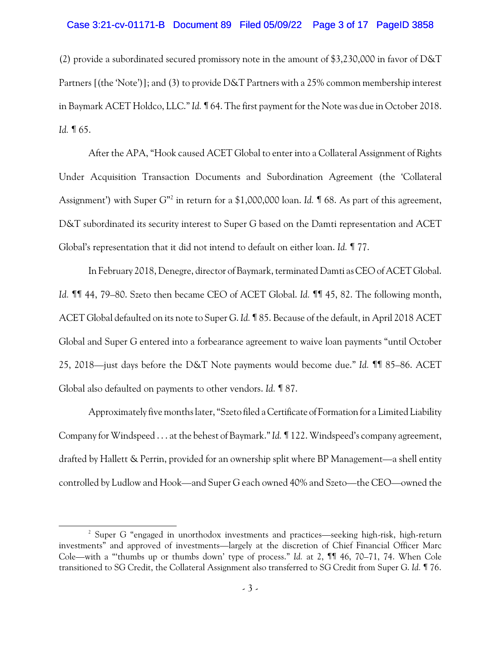#### Case 3:21-cv-01171-B Document 89 Filed 05/09/22 Page 3 of 17 PageID 3858

(2) provide a subordinated secured promissory note in the amount of \$3,230,000 in favor of D&T Partners [(the 'Note')]; and (3) to provide D&T Partners with a 25% common membership interest in Baymark ACET Holdco, LLC." *Id.* ¶ 64. The first payment for the Note was due in October 2018. *Id.* ¶ 65.

After the APA, "Hook caused ACET Global to enter into a Collateral Assignment of Rights Under Acquisition Transaction Documents and Subordination Agreement (the 'Collateral Assignment') with Super G"<sup>2</sup> in return for a \$1,000,000 loan. Id. ¶ 68. As part of this agreement, D&T subordinated its security interest to Super G based on the Damti representation and ACET Global's representation that it did not intend to default on either loan. *Id.* ¶ 77.

In February 2018, Denegre, director of Baymark, terminated Damti as CEO of ACET Global. *Id.* ¶¶ 44, 79–80. Szeto then became CEO of ACET Global. *Id.* ¶¶ 45, 82. The following month, ACET Global defaulted on its note to Super G. *Id.* ¶ 85. Because of the default, in April 2018 ACET Global and Super G entered into a forbearance agreement to waive loan payments "until October 25, 2018—just days before the D&T Note payments would become due." *Id.* ¶¶ 85–86. ACET Global also defaulted on payments to other vendors. *Id.* ¶ 87.

Approximately five months later, "Szeto filed a Certificate of Formation for a Limited Liability Company for Windspeed . . . at the behest of Baymark." *Id.* ¶ 122. Windspeed's company agreement, drafted by Hallett & Perrin, provided for an ownership split where BP Management—a shell entity controlled by Ludlow and Hook—and Super G each owned 40% and Szeto—the CEO—owned the

<sup>&</sup>lt;sup>2</sup> Super G "engaged in unorthodox investments and practices—seeking high-risk, high-return investments" and approved of investments—largely at the discretion of Chief Financial Officer Marc Cole—with a "'thumbs up or thumbs down' type of process." *Id.* at 2, ¶¶ 46, 70–71, 74. When Cole transitioned to SG Credit, the Collateral Assignment also transferred to SG Credit from Super G. *Id.* ¶ 76.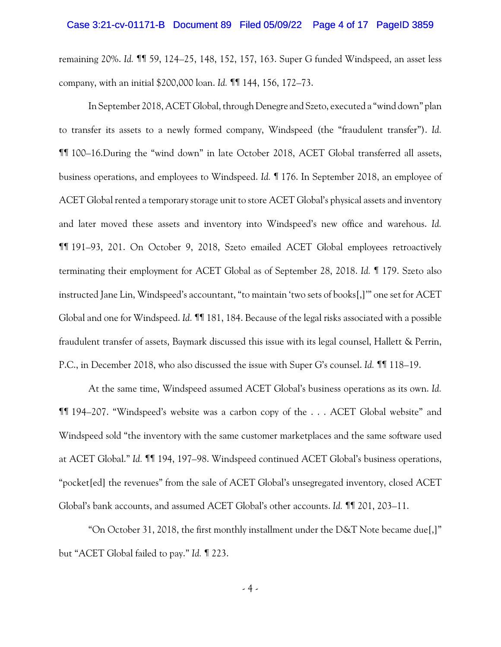remaining 20%. *Id.* ¶¶ 59, 124–25, 148, 152, 157, 163. Super G funded Windspeed, an asset less company, with an initial \$200,000 loan. *Id.* ¶¶ 144, 156, 172–73.

In September 2018, ACET Global, through Denegre and Szeto, executed a "wind down" plan to transfer its assets to a newly formed company, Windspeed (the "fraudulent transfer"). *Id.* ¶¶ 100–16.During the "wind down" in late October 2018, ACET Global transferred all assets, business operations, and employees to Windspeed. *Id.* ¶ 176. In September 2018, an employee of ACET Global rented a temporary storage unit to store ACET Global's physical assets and inventory and later moved these assets and inventory into Windspeed's new office and warehous. *Id.* ¶¶ 191–93, 201. On October 9, 2018, Szeto emailed ACET Global employees retroactively terminating their employment for ACET Global as of September 28, 2018. *Id.* ¶ 179. Szeto also instructed Jane Lin, Windspeed's accountant, "to maintain 'two sets of books[,]'" one set for ACET Global and one for Windspeed. *Id.* ¶¶ 181, 184. Because of the legal risks associated with a possible fraudulent transfer of assets, Baymark discussed this issue with its legal counsel, Hallett & Perrin, P.C., in December 2018, who also discussed the issue with Super G's counsel. *Id.* ¶¶ 118–19.

At the same time, Windspeed assumed ACET Global's business operations as its own. *Id.* ¶¶ 194–207. "Windspeed's website was a carbon copy of the . . . ACET Global website" and Windspeed sold "the inventory with the same customer marketplaces and the same software used at ACET Global." *Id.* ¶¶ 194, 197–98. Windspeed continued ACET Global's business operations, "pocket[ed] the revenues" from the sale of ACET Global's unsegregated inventory, closed ACET Global's bank accounts, and assumed ACET Global's other accounts. *Id.* ¶¶ 201, 203–11.

"On October 31, 2018, the first monthly installment under the D&T Note became due[,]" but "ACET Global failed to pay." *Id.* ¶ 223.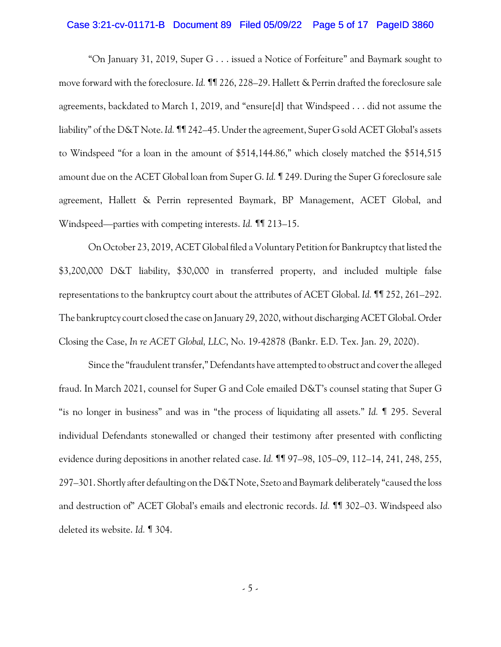#### Case 3:21-cv-01171-B Document 89 Filed 05/09/22 Page 5 of 17 PageID 3860

"On January 31, 2019, Super G . . . issued a Notice of Forfeiture" and Baymark sought to move forward with the foreclosure. *Id.* ¶¶ 226, 228–29. Hallett & Perrin drafted the foreclosure sale agreements, backdated to March 1, 2019, and "ensure[d] that Windspeed . . . did not assume the liability" of the D&T Note. *Id.* III 242–45. Under the agreement, Super G sold ACET Global's assets to Windspeed "for a loan in the amount of \$514,144.86," which closely matched the \$514,515 amount due on the ACET Global loan from Super G. *Id.* ¶ 249. During the Super G foreclosure sale agreement, Hallett & Perrin represented Baymark, BP Management, ACET Global, and Windspeed—parties with competing interests. *Id.* ¶¶ 213–15.

On October 23, 2019, ACET Global filed a Voluntary Petition for Bankruptcy that listed the \$3,200,000 D&T liability, \$30,000 in transferred property, and included multiple false representations to the bankruptcy court about the attributes of ACET Global. *Id.* ¶¶ 252, 261–292. The bankruptcy court closed the case on January 29, 2020, without discharging ACET Global. Order Closing the Case, *In re ACET Global, LLC*, No. 19-42878 (Bankr. E.D. Tex. Jan. 29, 2020).

Since the "fraudulent transfer," Defendants have attempted to obstruct and cover the alleged fraud. In March 2021, counsel for Super G and Cole emailed D&T's counsel stating that Super G "is no longer in business" and was in "the process of liquidating all assets." *Id.* ¶ 295. Several individual Defendants stonewalled or changed their testimony after presented with conflicting evidence during depositions in another related case. *Id.* ¶¶ 97–98, 105–09, 112–14, 241, 248, 255, 297–301. Shortly after defaulting on the D&T Note, Szeto and Baymark deliberately "caused the loss and destruction of" ACET Global's emails and electronic records. *Id.* ¶¶ 302–03. Windspeed also deleted its website. *Id.* ¶ 304.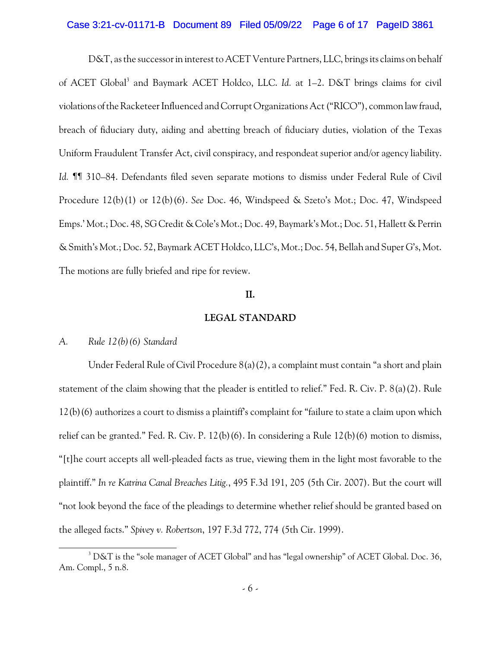#### Case 3:21-cv-01171-B Document 89 Filed 05/09/22 Page 6 of 17 PageID 3861

D&T, as the successor in interest to ACET Venture Partners, LLC, brings its claims on behalf of ACET Global<sup>3</sup> and Baymark ACET Holdco, LLC. *Id.* at 1–2. D&T brings claims for civil violations of the Racketeer Influenced and Corrupt Organizations Act ("RICO"), common law fraud, breach of fiduciary duty, aiding and abetting breach of fiduciary duties, violation of the Texas Uniform Fraudulent Transfer Act, civil conspiracy, and respondeat superior and/or agency liability. *Id.* ¶¶ 310–84. Defendants filed seven separate motions to dismiss under Federal Rule of Civil Procedure 12(b)(1) or 12(b)(6). *See* Doc. 46, Windspeed & Szeto's Mot.; Doc. 47, Windspeed Emps.' Mot.; Doc. 48, SG Credit & Cole's Mot.; Doc. 49, Baymark's Mot.; Doc. 51, Hallett & Perrin & Smith's Mot.; Doc. 52, Baymark ACETHoldco, LLC's, Mot.; Doc. 54, Bellah and Super G's, Mot. The motions are fully briefed and ripe for review.

### **II.**

#### **LEGAL STANDARD**

### *A. Rule 12(b)(6) Standard*

Under Federal Rule of Civil Procedure 8(a)(2), a complaint must contain "a short and plain statement of the claim showing that the pleader is entitled to relief." Fed. R. Civ. P. 8(a)(2). Rule 12(b)(6) authorizes a court to dismiss a plaintiff's complaint for "failure to state a claim upon which relief can be granted." Fed. R. Civ. P. 12(b)(6). In considering a Rule 12(b)(6) motion to dismiss, "[t]he court accepts all well-pleaded facts as true, viewing them in the light most favorable to the plaintiff." *In re Katrina Canal Breaches Litig.*, 495 F.3d 191, 205 (5th Cir. 2007). But the court will "not look beyond the face of the pleadings to determine whether relief should be granted based on the alleged facts." *Spivey v. Robertson*, 197 F.3d 772, 774 (5th Cir. 1999).

 $3$  D&T is the "sole manager of ACET Global" and has "legal ownership" of ACET Global. Doc. 36, Am. Compl., 5 n.8.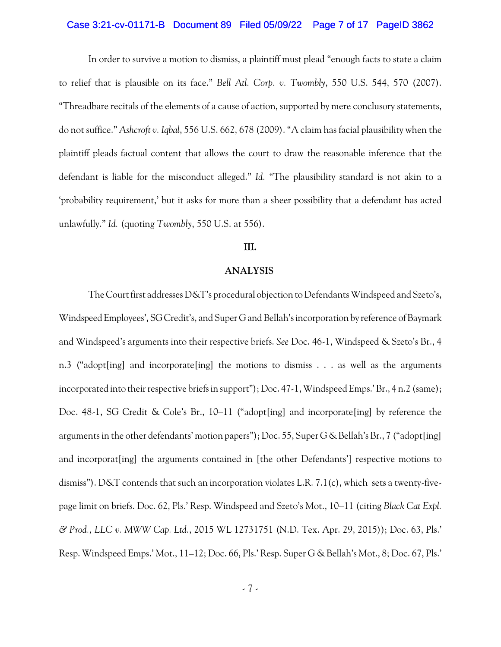#### Case 3:21-cv-01171-B Document 89 Filed 05/09/22 Page 7 of 17 PageID 3862

In order to survive a motion to dismiss, a plaintiff must plead "enough facts to state a claim to relief that is plausible on its face." *Bell Atl. Corp. v. Twombly*, 550 U.S. 544, 570 (2007). "Threadbare recitals of the elements of a cause of action, supported by mere conclusory statements, do not suffice." *Ashcroft v. Iqbal*, 556 U.S. 662, 678 (2009). "A claim has facial plausibility when the plaintiff pleads factual content that allows the court to draw the reasonable inference that the defendant is liable for the misconduct alleged." *Id.* "The plausibility standard is not akin to a 'probability requirement,' but it asks for more than a sheer possibility that a defendant has acted unlawfully." *Id.* (quoting *Twombly*, 550 U.S. at 556).

#### **III.**

#### **ANALYSIS**

The Court first addresses D&T's procedural objection to Defendants Windspeed and Szeto's, Windspeed Employees', SG Credit's, and Super G and Bellah's incorporation by reference of Baymark and Windspeed's arguments into their respective briefs. *See* Doc. 46-1, Windspeed & Szeto's Br., 4 n.3 ("adopt[ing] and incorporate[ing] the motions to dismiss . . . as well as the arguments incorporated into their respective briefs in support"); Doc. 47-1, Windspeed Emps.' Br., 4 n.2 (same); Doc. 48-1, SG Credit & Cole's Br., 10–11 ("adopt[ing] and incorporate[ing] by reference the arguments in the other defendants' motion papers"); Doc. 55, Super G & Bellah's Br., 7 ("adopt[ing] and incorporat[ing] the arguments contained in [the other Defendants'] respective motions to dismiss"). D&T contends that such an incorporation violates L.R. 7.1(c), which sets a twenty-fivepage limit on briefs. Doc. 62, Pls.' Resp. Windspeed and Szeto's Mot., 10–11 (citing *Black Cat Expl. & Prod., LLC v. MWW Cap. Ltd.*, 2015 WL 12731751 (N.D. Tex. Apr. 29, 2015)); Doc. 63, Pls.' Resp. Windspeed Emps.' Mot., 11–12; Doc. 66, Pls.' Resp. Super G & Bellah's Mot., 8; Doc. 67, Pls.'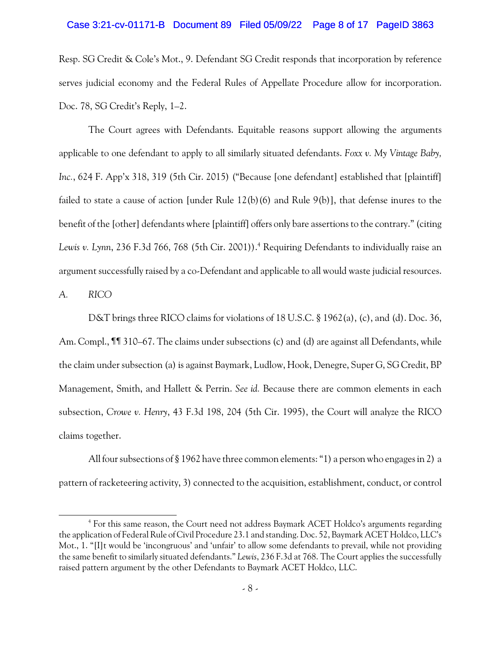#### Case 3:21-cv-01171-B Document 89 Filed 05/09/22 Page 8 of 17 PageID 3863

Resp. SG Credit & Cole's Mot., 9. Defendant SG Credit responds that incorporation by reference serves judicial economy and the Federal Rules of Appellate Procedure allow for incorporation. Doc. 78, SG Credit's Reply, 1–2.

The Court agrees with Defendants. Equitable reasons support allowing the arguments applicable to one defendant to apply to all similarly situated defendants. *Foxx v. My Vintage Baby, Inc.*, 624 F. App'x 318, 319 (5th Cir. 2015) ("Because [one defendant] established that [plaintiff] failed to state a cause of action [under Rule 12(b)(6) and Rule 9(b)], that defense inures to the benefit of the [other] defendants where [plaintiff] offers only bare assertions to the contrary." (citing *Lewis v. Lynn*, 236 F.3d 766, 768 (5th Cir. 2001)).<sup>4</sup> Requiring Defendants to individually raise an argument successfully raised by a co-Defendant and applicable to all would waste judicial resources.

*A. RICO*

D&T brings three RICO claims for violations of 18 U.S.C. § 1962(a), (c), and (d). Doc. 36, Am. Compl., *Iff* 310–67. The claims under subsections (c) and (d) are against all Defendants, while the claim under subsection (a) is against Baymark, Ludlow, Hook, Denegre, Super G, SG Credit, BP Management, Smith, and Hallett & Perrin. *See id.* Because there are common elements in each subsection, *Crowe v. Henry*, 43 F.3d 198, 204 (5th Cir. 1995), the Court will analyze the RICO claims together.

All four subsections of § 1962 have three common elements: "1) a person who engages in 2) a pattern of racketeering activity, 3) connected to the acquisition, establishment, conduct, or control

<sup>&</sup>lt;sup>4</sup> For this same reason, the Court need not address Baymark ACET Holdco's arguments regarding the application of Federal Rule of Civil Procedure 23.1 and standing. Doc. 52, Baymark ACET Holdco, LLC's Mot., 1. "[I]t would be 'incongruous' and 'unfair' to allow some defendants to prevail, while not providing the same benefit to similarly situated defendants." *Lewis*, 236 F.3d at 768. The Court applies the successfully raised pattern argument by the other Defendants to Baymark ACET Holdco, LLC.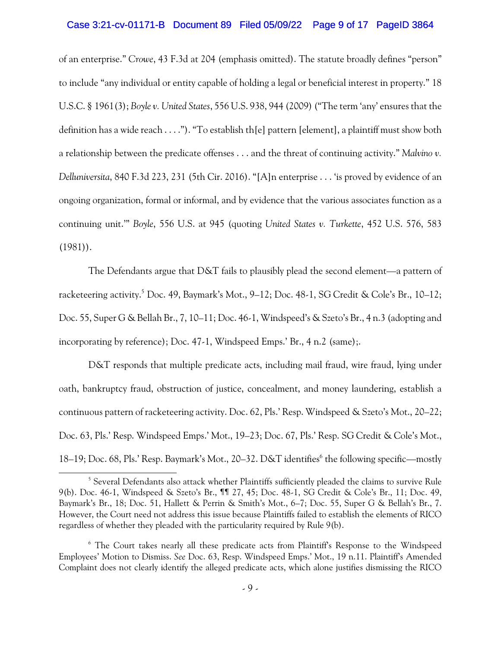#### Case 3:21-cv-01171-B Document 89 Filed 05/09/22 Page 9 of 17 PageID 3864

of an enterprise." *Crowe*, 43 F.3d at 204 (emphasis omitted). The statute broadly defines "person" to include "any individual or entity capable of holding a legal or beneficial interest in property." 18 U.S.C. § 1961(3); *Boyle v. United States*, 556 U.S. 938, 944 (2009)("The term 'any' ensures that the definition has a wide reach . . . ."). "To establish th[e] pattern [element], a plaintiff must show both a relationship between the predicate offenses . . . and the threat of continuing activity." *Malvino v. Delluniversita*, 840 F.3d 223, 231 (5th Cir. 2016). "[A]n enterprise . . . 'is proved by evidence of an ongoing organization, formal or informal, and by evidence that the various associates function as a continuing unit.'" *Boyle*, 556 U.S. at 945 (quoting *United States v. Turkette*, 452 U.S. 576, 583  $(1981)$ .

The Defendants argue that D&T fails to plausibly plead the second element—a pattern of racketeering activity.<sup>5</sup> Doc. 49, Baymark's Mot., 9–12; Doc. 48-1, SG Credit & Cole's Br., 10–12; Doc. 55, Super G & Bellah Br., 7, 10–11; Doc. 46-1, Windspeed's & Szeto's Br., 4 n.3 (adopting and incorporating by reference); Doc. 47-1, Windspeed Emps.' Br., 4 n.2 (same);.

D&T responds that multiple predicate acts, including mail fraud, wire fraud, lying under oath, bankruptcy fraud, obstruction of justice, concealment, and money laundering, establish a continuous pattern of racketeering activity. Doc. 62, Pls.' Resp. Windspeed & Szeto's Mot., 20–22; Doc. 63, Pls.' Resp. Windspeed Emps.' Mot., 19–23; Doc. 67, Pls.' Resp. SG Credit & Cole's Mot., 18–19; Doc. 68, Pls.' Resp. Baymark's Mot., 20–32. D&T identifies<sup>6</sup> the following specific—mostly

<sup>&</sup>lt;sup>5</sup> Several Defendants also attack whether Plaintiffs sufficiently pleaded the claims to survive Rule 9(b). Doc. 46-1, Windspeed & Szeto's Br., ¶¶ 27, 45; Doc. 48-1, SG Credit & Cole's Br., 11; Doc. 49, Baymark's Br., 18; Doc. 51, Hallett & Perrin & Smith's Mot., 6–7; Doc. 55, Super G & Bellah's Br., 7. However, the Court need not address this issue because Plaintiffs failed to establish the elements of RICO regardless of whether they pleaded with the particularity required by Rule 9(b).

 $\degree$  The Court takes nearly all these predicate acts from Plaintiff's Response to the Windspeed Employees' Motion to Dismiss. *See* Doc. 63, Resp. Windspeed Emps.' Mot., 19 n.11. Plaintiff's Amended Complaint does not clearly identify the alleged predicate acts, which alone justifies dismissing the RICO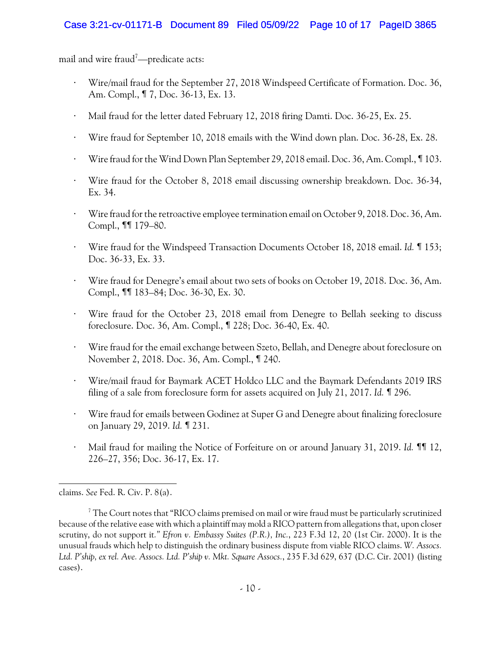mail and wire fraud<sup> $7$ </sup>—predicate acts:

- Wire/mail fraud for the September 27, 2018 Windspeed Certificate of Formation. Doc. 36, Am. Compl., ¶ 7, Doc. 36-13, Ex. 13.
- Mail fraud for the letter dated February 12, 2018 firing Damti. Doc. 36-25, Ex. 25.
- " Wire fraud for September 10, 2018 emails with the Wind down plan. Doc. 36-28, Ex. 28.
- " Wire fraud for the Wind Down Plan September 29, 2018 email. Doc. 36, Am. Compl., ¶ 103.
- Wire fraud for the October 8, 2018 email discussing ownership breakdown. Doc. 36-34, Ex. 34.
- Wire fraud for the retroactive employee termination email on October 9, 2018. Doc. 36, Am. Compl., ¶¶ 179–80.
- " Wire fraud for the Windspeed Transaction Documents October 18, 2018 email. *Id.* ¶ 153; Doc. 36-33, Ex. 33.
- Wire fraud for Denegre's email about two sets of books on October 19, 2018. Doc. 36, Am. Compl., ¶¶ 183–84; Doc. 36-30, Ex. 30.
- Wire fraud for the October 23, 2018 email from Denegre to Bellah seeking to discuss foreclosure. Doc. 36, Am. Compl., ¶ 228; Doc. 36-40, Ex. 40.
- Wire fraud for the email exchange between Szeto, Bellah, and Denegre about foreclosure on November 2, 2018. Doc. 36, Am. Compl., ¶ 240.
- " Wire/mail fraud for Baymark ACET Holdco LLC and the Baymark Defendants 2019 IRS filing of a sale from foreclosure form for assets acquired on July 21, 2017. *Id.* ¶ 296.
- Wire fraud for emails between Godinez at Super G and Denegre about finalizing foreclosure on January 29, 2019. *Id.* ¶ 231.
- " Mail fraud for mailing the Notice of Forfeiture on or around January 31, 2019. *Id.* ¶¶ 12, 226–27, 356; Doc. 36-17, Ex. 17.

claims. *See* Fed. R. Civ. P. 8(a).

 $\textsuperscript{7}$  The Court notes that "RICO claims premised on mail or wire fraud must be particularly scrutinized because of the relative ease with which a plaintiff may mold a RICO pattern from allegations that, upon closer scrutiny, do not support it*." Efron v. Embassy Suites (P.R.), Inc.*, 223 F.3d 12, 20 (1st Cir. 2000). It is the unusual frauds which help to distinguish the ordinary business dispute from viable RICO claims. *W. Assocs. Ltd. P'ship, ex rel. Ave. Assocs. Ltd. P'ship v. Mkt. Square Assocs.*, 235 F.3d 629, 637 (D.C. Cir. 2001) (listing cases).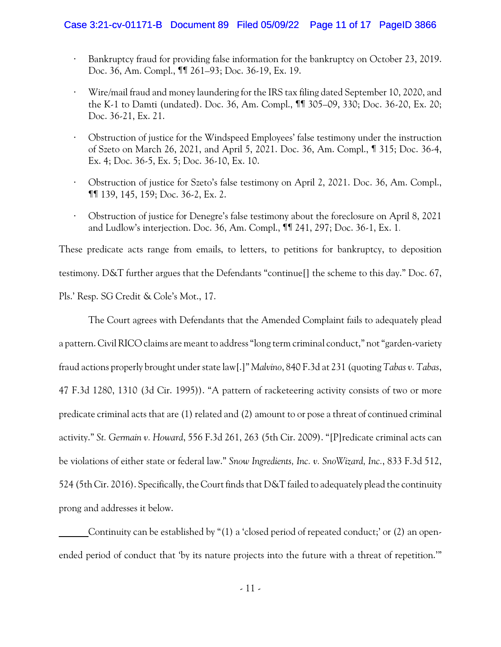### Case 3:21-cv-01171-B Document 89 Filed 05/09/22 Page 11 of 17 PageID 3866

- Bankruptcy fraud for providing false information for the bankruptcy on October 23, 2019. Doc. 36, Am. Compl., ¶¶ 261–93; Doc. 36-19, Ex. 19.
- " Wire/mail fraud and money laundering for the IRS tax filing dated September 10, 2020, and the K-1 to Damti (undated). Doc. 36, Am. Compl., ¶¶ 305–09, 330; Doc. 36-20, Ex. 20; Doc. 36-21, Ex. 21.
- " Obstruction of justice for the Windspeed Employees' false testimony under the instruction of Szeto on March 26, 2021, and April 5, 2021. Doc. 36, Am. Compl., ¶ 315; Doc. 36-4, Ex. 4; Doc. 36-5, Ex. 5; Doc. 36-10, Ex. 10.
- " Obstruction of justice for Szeto's false testimony on April 2, 2021. Doc. 36, Am. Compl., ¶¶ 139, 145, 159; Doc. 36-2, Ex. 2.
- " Obstruction of justice for Denegre's false testimony about the foreclosure on April 8, 2021 and Ludlow's interjection. Doc. 36, Am. Compl., ¶¶ 241, 297; Doc. 36-1, Ex. 1.

These predicate acts range from emails, to letters, to petitions for bankruptcy, to deposition testimony. D&T further argues that the Defendants "continue[] the scheme to this day." Doc. 67, Pls.' Resp. SG Credit & Cole's Mot., 17.

The Court agrees with Defendants that the Amended Complaint fails to adequately plead a pattern. Civil RICO claims are meant to address "long term criminal conduct," not "garden-variety fraud actions properly brought under state law[.]" *Malvino*, 840 F.3d at 231 (quoting *Tabas v. Tabas*, 47 F.3d 1280, 1310 (3d Cir. 1995)). "A pattern of racketeering activity consists of two or more predicate criminal acts that are (1) related and (2) amount to or pose a threat of continued criminal activity." *St. Germain v. Howard*, 556 F.3d 261, 263 (5th Cir. 2009). "[P]redicate criminal acts can be violations of either state or federal law." *Snow Ingredients, Inc. v. SnoWizard, Inc.*, 833 F.3d 512, 524 (5th Cir. 2016). Specifically, the Court finds that D&T failed to adequately plead the continuity prong and addresses it below.

Continuity can be established by "(1) a 'closed period of repeated conduct;' or (2) an openended period of conduct that 'by its nature projects into the future with a threat of repetition.'"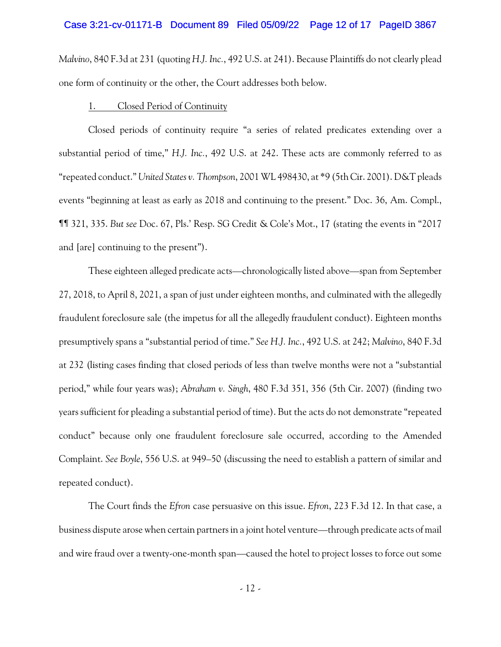#### Case 3:21-cv-01171-B Document 89 Filed 05/09/22 Page 12 of 17 PageID 3867

*Malvino*, 840 F.3d at 231 (quoting *H.J. Inc.*, 492 U.S. at 241). Because Plaintiffs do not clearly plead one form of continuity or the other, the Court addresses both below.

#### 1. Closed Period of Continuity

Closed periods of continuity require "a series of related predicates extending over a substantial period of time," *H.J. Inc.*, 492 U.S. at 242. These acts are commonly referred to as "repeated conduct." *United States v. Thompson*, 2001 WL 498430, at \*9 (5th Cir. 2001). D&T pleads events "beginning at least as early as 2018 and continuing to the present." Doc. 36, Am. Compl., ¶¶ 321, 335. *But see* Doc. 67, Pls.' Resp. SG Credit & Cole's Mot., 17 (stating the events in "2017 and [are] continuing to the present").

These eighteen alleged predicate acts—chronologically listed above—span from September 27, 2018, to April 8, 2021, a span of just under eighteen months, and culminated with the allegedly fraudulent foreclosure sale (the impetus for all the allegedly fraudulent conduct). Eighteen months presumptively spans a "substantial period of time." *See H.J. Inc.*, 492 U.S. at 242; *Malvino*, 840 F.3d at 232 (listing cases finding that closed periods of less than twelve months were not a "substantial period," while four years was); *Abraham v. Singh*, 480 F.3d 351, 356 (5th Cir. 2007) (finding two years sufficient for pleading a substantial period of time). But the acts do not demonstrate "repeated conduct" because only one fraudulent foreclosure sale occurred, according to the Amended Complaint. *See Boyle*, 556 U.S. at 949–50 (discussing the need to establish a pattern of similar and repeated conduct).

The Court finds the *Efron* case persuasive on this issue. *Efron*, 223 F.3d 12. In that case, a business dispute arose when certain partners in a joint hotel venture—through predicate acts of mail and wire fraud over a twenty-one-month span—caused the hotel to project losses to force out some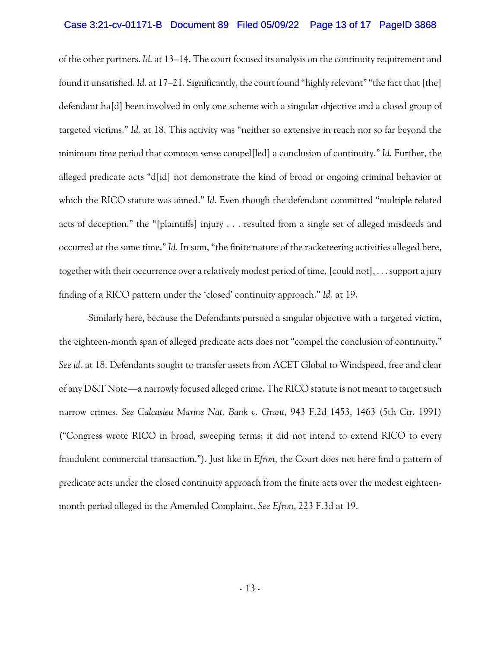#### Case 3:21-cv-01171-B Document 89 Filed 05/09/22 Page 13 of 17 PageID 3868

of the other partners. *Id.* at 13–14. The court focused its analysis on the continuity requirement and found it unsatisfied. *Id.* at 17–21. Significantly, the court found "highly relevant" "the fact that [the] defendant ha[d] been involved in only one scheme with a singular objective and a closed group of targeted victims." *Id.* at 18. This activity was "neither so extensive in reach nor so far beyond the minimum time period that common sense compel[led] a conclusion of continuity." *Id.* Further, the alleged predicate acts "d[id] not demonstrate the kind of broad or ongoing criminal behavior at which the RICO statute was aimed." *Id.* Even though the defendant committed "multiple related acts of deception," the "[plaintiffs] injury . . . resulted from a single set of alleged misdeeds and occurred at the same time." *Id.* In sum, "the finite nature of the racketeering activities alleged here, together with their occurrence over a relatively modest period of time, [could not], . . . support a jury finding of a RICO pattern under the 'closed' continuity approach." *Id.* at 19.

Similarly here, because the Defendants pursued a singular objective with a targeted victim, the eighteen-month span of alleged predicate acts does not "compel the conclusion of continuity." *See id.* at 18. Defendants sought to transfer assets from ACET Global to Windspeed, free and clear of any D&T Note—a narrowly focused alleged crime. The RICO statute is not meant to target such narrow crimes. *See Calcasieu Marine Nat. Bank v. Grant*, 943 F.2d 1453, 1463 (5th Cir. 1991) ("Congress wrote RICO in broad, sweeping terms; it did not intend to extend RICO to every fraudulent commercial transaction."). Just like in *Efron*, the Court does not here find a pattern of predicate acts under the closed continuity approach from the finite acts over the modest eighteenmonth period alleged in the Amended Complaint. *See Efron*, 223 F.3d at 19.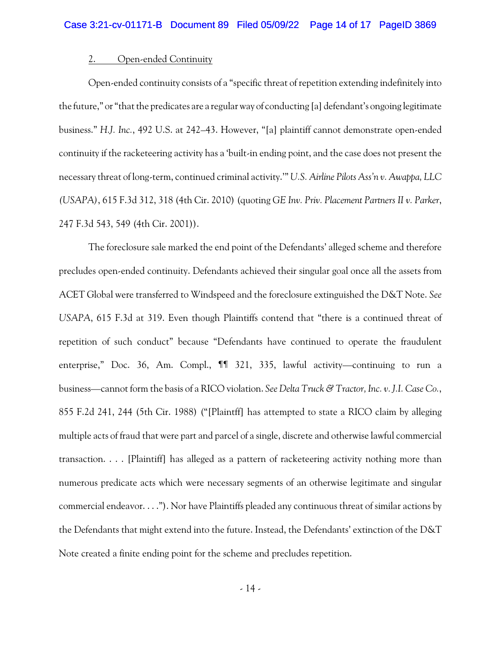# 2. Open-ended Continuity

Open-ended continuity consists of a "specific threat of repetition extending indefinitely into the future," or "that the predicates are a regular way of conducting [a] defendant's ongoing legitimate business." *H.J. Inc.*, 492 U.S. at 242–43. However, "[a] plaintiff cannot demonstrate open-ended continuity if the racketeering activity has a 'built-in ending point, and the case does not present the necessary threat of long-term, continued criminal activity.'" *U.S. Airline Pilots Ass'n v. Awappa, LLC (USAPA)*, 615 F.3d 312, 318 (4th Cir. 2010) (quoting *GE Inv. Priv. Placement Partners II v. Parker*, 247 F.3d 543, 549 (4th Cir. 2001)).

The foreclosure sale marked the end point of the Defendants' alleged scheme and therefore precludes open-ended continuity. Defendants achieved their singular goal once all the assets from ACET Global were transferred to Windspeed and the foreclosure extinguished the D&T Note. *See USAPA*, 615 F.3d at 319. Even though Plaintiffs contend that "there is a continued threat of repetition of such conduct" because "Defendants have continued to operate the fraudulent enterprise," Doc. 36, Am. Compl.,  $\P$  321, 335, lawful activity—continuing to run a business—cannot form the basis of a RICO violation. *See Delta Truck & Tractor, Inc. v. J.I. Case Co.*, 855 F.2d 241, 244 (5th Cir. 1988) ("[Plaintff] has attempted to state a RICO claim by alleging multiple acts of fraud that were part and parcel of a single, discrete and otherwise lawful commercial transaction. . . . [Plaintiff] has alleged as a pattern of racketeering activity nothing more than numerous predicate acts which were necessary segments of an otherwise legitimate and singular commercial endeavor. . . ."). Nor have Plaintiffs pleaded any continuous threat of similar actions by the Defendants that might extend into the future. Instead, the Defendants' extinction of the D&T Note created a finite ending point for the scheme and precludes repetition.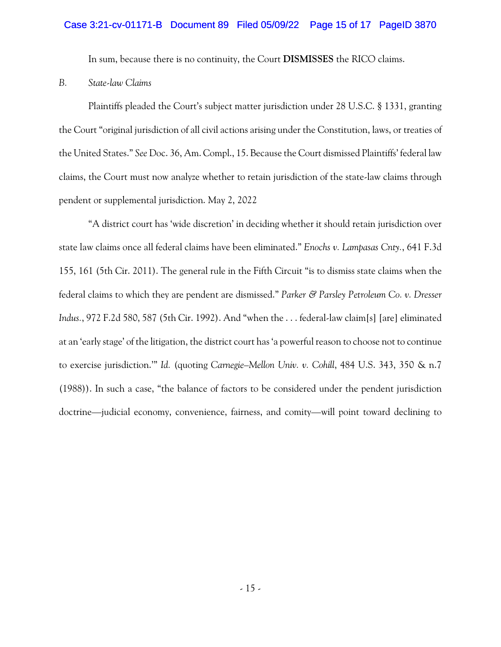### Case 3:21-cv-01171-B Document 89 Filed 05/09/22 Page 15 of 17 PageID 3870

In sum, because there is no continuity, the Court **DISMISSES** the RICO claims.

*B. State-law Claims*

Plaintiffs pleaded the Court's subject matter jurisdiction under 28 U.S.C. § 1331, granting the Court "original jurisdiction of all civil actions arising under the Constitution, laws, or treaties of the United States." *See* Doc. 36, Am. Compl., 15. Because the Court dismissed Plaintiffs' federal law claims, the Court must now analyze whether to retain jurisdiction of the state-law claims through pendent or supplemental jurisdiction. May 2, 2022

"A district court has 'wide discretion' in deciding whether it should retain jurisdiction over state law claims once all federal claims have been eliminated." *Enochs v. Lampasas Cnty.*, 641 F.3d 155, 161 (5th Cir. 2011). The general rule in the Fifth Circuit "is to dismiss state claims when the federal claims to which they are pendent are dismissed." *Parker & Parsley Petroleum Co. v. Dresser Indus.*, 972 F.2d 580, 587 (5th Cir. 1992). And "when the . . . federal-law claim[s] [are] eliminated at an 'early stage' of the litigation, the district court has 'a powerful reason to choose not to continue to exercise jurisdiction.'" *Id.* (quoting *Carnegie–Mellon Univ. v. Cohill*, 484 U.S. 343, 350 & n.7 (1988)). In such a case, "the balance of factors to be considered under the pendent jurisdiction doctrine—judicial economy, convenience, fairness, and comity—will point toward declining to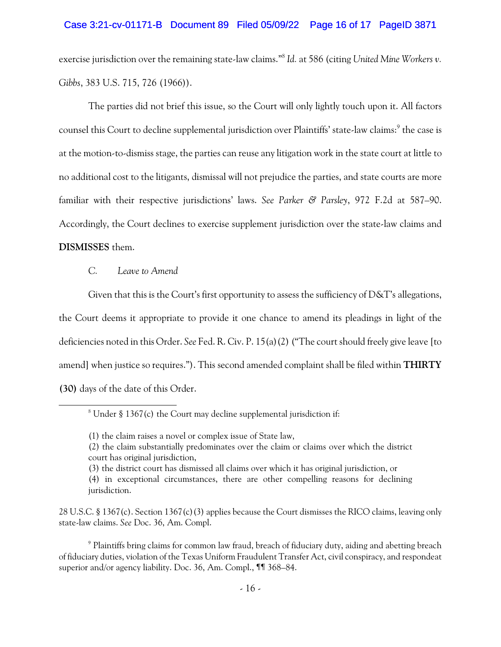### Case 3:21-cv-01171-B Document 89 Filed 05/09/22 Page 16 of 17 PageID 3871

exercise jurisdiction over the remaining state-law claims." *Id.* at 586 (citing *United Mine Workers v.* 8 *Gibbs*, 383 U.S. 715, 726 (1966)).

The parties did not brief this issue, so the Court will only lightly touch upon it. All factors counsel this Court to decline supplemental jurisdiction over Plaintiffs' state-law claims:<sup>9</sup> the case is at the motion-to-dismiss stage, the parties can reuse any litigation work in the state court at little to no additional cost to the litigants, dismissal will not prejudice the parties, and state courts are more familiar with their respective jurisdictions' laws. *See Parker & Parsley*, 972 F.2d at 587–90. Accordingly, the Court declines to exercise supplement jurisdiction over the state-law claims and **DISMISSES** them.

#### *C. Leave to Amend*

Given that this is the Court's first opportunity to assess the sufficiency of D&T's allegations, the Court deems it appropriate to provide it one chance to amend its pleadings in light of the deficiencies noted in this Order. *See* Fed. R. Civ. P. 15(a)(2) ("The court should freely give leave [to amend] when justice so requires."). This second amended complaint shall be filed within **THIRTY (30)** days of the date of this Order.

 $8$  Under § 1367(c) the Court may decline supplemental jurisdiction if:

<sup>(1)</sup> the claim raises a novel or complex issue of State law,

<sup>(2)</sup> the claim substantially predominates over the claim or claims over which the district court has original jurisdiction,

<sup>(3)</sup> the district court has dismissed all claims over which it has original jurisdiction, or

<sup>(4)</sup> in exceptional circumstances, there are other compelling reasons for declining jurisdiction.

<sup>28</sup> U.S.C. § 1367(c). Section 1367(c)(3) applies because the Court dismisses the RICO claims, leaving only state-law claims. *See* Doc. 36, Am. Compl.

<sup>&</sup>lt;sup>9</sup> Plaintiffs bring claims for common law fraud, breach of fiduciary duty, aiding and abetting breach of fiduciary duties, violation of the Texas Uniform Fraudulent Transfer Act, civil conspiracy, and respondeat superior and/or agency liability. Doc. 36, Am. Compl., ¶¶ 368–84.